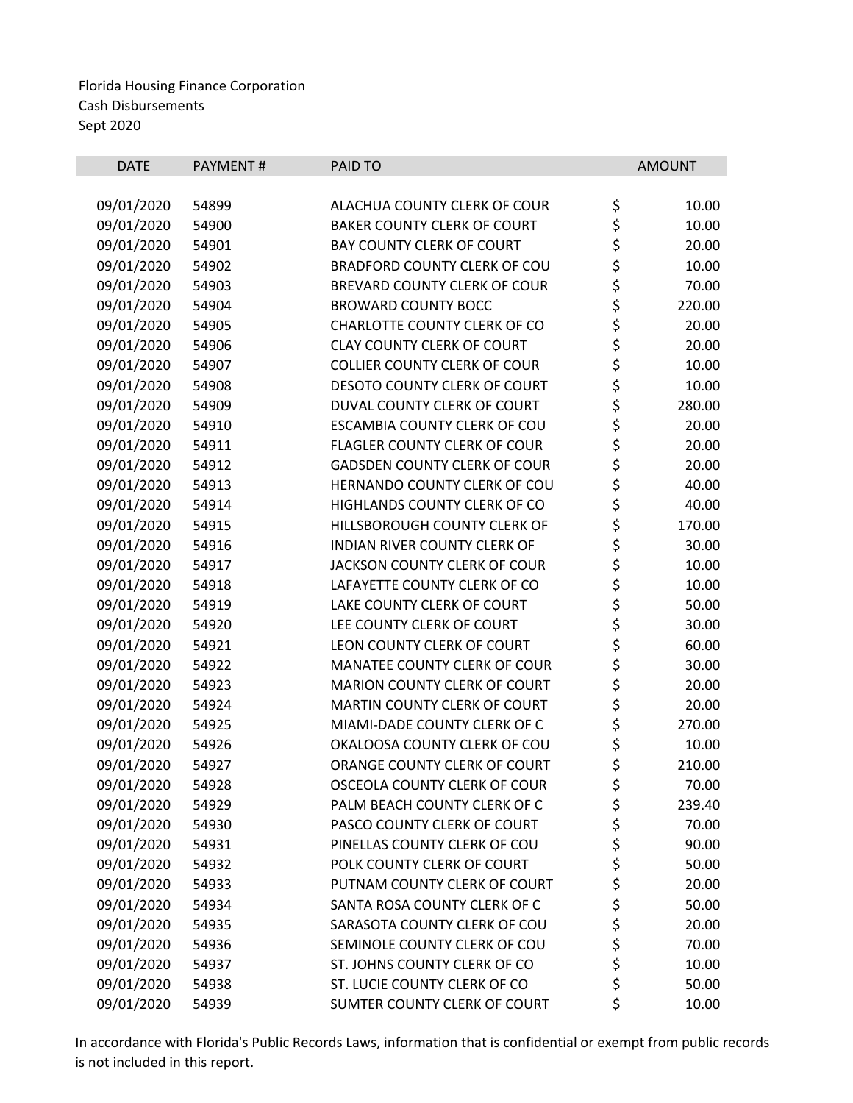| <b>DATE</b> | PAYMENT# | PAID TO                             |             | <b>AMOUNT</b> |
|-------------|----------|-------------------------------------|-------------|---------------|
|             |          |                                     |             |               |
| 09/01/2020  | 54899    | ALACHUA COUNTY CLERK OF COUR        | \$          | 10.00         |
| 09/01/2020  | 54900    | <b>BAKER COUNTY CLERK OF COURT</b>  | \$          | 10.00         |
| 09/01/2020  | 54901    | <b>BAY COUNTY CLERK OF COURT</b>    | \$<br>\$    | 20.00         |
| 09/01/2020  | 54902    | BRADFORD COUNTY CLERK OF COU        |             | 10.00         |
| 09/01/2020  | 54903    | BREVARD COUNTY CLERK OF COUR        | \$          | 70.00         |
| 09/01/2020  | 54904    | <b>BROWARD COUNTY BOCC</b>          |             | 220.00        |
| 09/01/2020  | 54905    | CHARLOTTE COUNTY CLERK OF CO        | \$ \$ \$ \$ | 20.00         |
| 09/01/2020  | 54906    | <b>CLAY COUNTY CLERK OF COURT</b>   |             | 20.00         |
| 09/01/2020  | 54907    | <b>COLLIER COUNTY CLERK OF COUR</b> |             | 10.00         |
| 09/01/2020  | 54908    | DESOTO COUNTY CLERK OF COURT        | \$          | 10.00         |
| 09/01/2020  | 54909    | DUVAL COUNTY CLERK OF COURT         | \$<br>\$    | 280.00        |
| 09/01/2020  | 54910    | <b>ESCAMBIA COUNTY CLERK OF COU</b> |             | 20.00         |
| 09/01/2020  | 54911    | FLAGLER COUNTY CLERK OF COUR        | \$<br>\$    | 20.00         |
| 09/01/2020  | 54912    | <b>GADSDEN COUNTY CLERK OF COUR</b> |             | 20.00         |
| 09/01/2020  | 54913    | HERNANDO COUNTY CLERK OF COU        | \$          | 40.00         |
| 09/01/2020  | 54914    | HIGHLANDS COUNTY CLERK OF CO        | \$<br>\$    | 40.00         |
| 09/01/2020  | 54915    | HILLSBOROUGH COUNTY CLERK OF        |             | 170.00        |
| 09/01/2020  | 54916    | <b>INDIAN RIVER COUNTY CLERK OF</b> | \$\$\$      | 30.00         |
| 09/01/2020  | 54917    | JACKSON COUNTY CLERK OF COUR        |             | 10.00         |
| 09/01/2020  | 54918    | LAFAYETTE COUNTY CLERK OF CO        |             | 10.00         |
| 09/01/2020  | 54919    | LAKE COUNTY CLERK OF COURT          | ややみ         | 50.00         |
| 09/01/2020  | 54920    | LEE COUNTY CLERK OF COURT           |             | 30.00         |
| 09/01/2020  | 54921    | LEON COUNTY CLERK OF COURT          |             | 60.00         |
| 09/01/2020  | 54922    | MANATEE COUNTY CLERK OF COUR        |             | 30.00         |
| 09/01/2020  | 54923    | <b>MARION COUNTY CLERK OF COURT</b> |             | 20.00         |
| 09/01/2020  | 54924    | MARTIN COUNTY CLERK OF COURT        | \$<br>\$    | 20.00         |
| 09/01/2020  | 54925    | MIAMI-DADE COUNTY CLERK OF C        |             | 270.00        |
| 09/01/2020  | 54926    | OKALOOSA COUNTY CLERK OF COU        | \$<br>\$    | 10.00         |
| 09/01/2020  | 54927    | ORANGE COUNTY CLERK OF COURT        |             | 210.00        |
| 09/01/2020  | 54928    | OSCEOLA COUNTY CLERK OF COUR        | \$          | 70.00         |
| 09/01/2020  | 54929    | PALM BEACH COUNTY CLERK OF C        | \$          | 239.40        |
| 09/01/2020  | 54930    | PASCO COUNTY CLERK OF COURT         | \$          | 70.00         |
| 09/01/2020  | 54931    | PINELLAS COUNTY CLERK OF COU        | \$          | 90.00         |
| 09/01/2020  | 54932    | POLK COUNTY CLERK OF COURT          | \$          | 50.00         |
| 09/01/2020  | 54933    | PUTNAM COUNTY CLERK OF COURT        | \$          | 20.00         |
| 09/01/2020  | 54934    | SANTA ROSA COUNTY CLERK OF C        | \$<br>\$    | 50.00         |
| 09/01/2020  | 54935    | SARASOTA COUNTY CLERK OF COU        |             | 20.00         |
| 09/01/2020  | 54936    | SEMINOLE COUNTY CLERK OF COU        | \$          | 70.00         |
| 09/01/2020  | 54937    | ST. JOHNS COUNTY CLERK OF CO        | \$<br>\$    | 10.00         |
| 09/01/2020  | 54938    | ST. LUCIE COUNTY CLERK OF CO        |             | 50.00         |
| 09/01/2020  | 54939    | SUMTER COUNTY CLERK OF COURT        | \$          | 10.00         |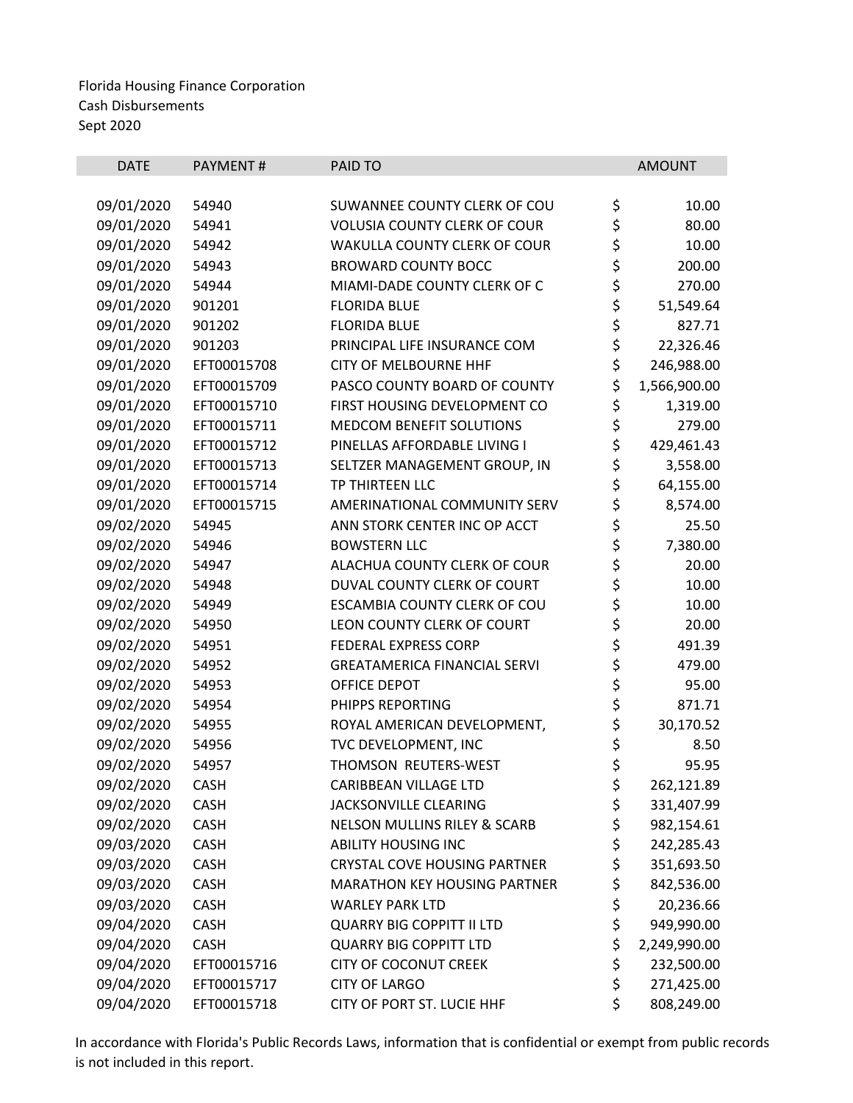| \$<br>09/01/2020<br>SUWANNEE COUNTY CLERK OF COU<br>54940<br>10.00<br>\$<br>09/01/2020<br>54941<br><b>VOLUSIA COUNTY CLERK OF COUR</b><br>80.00<br>\$<br>09/01/2020<br>54942<br>WAKULLA COUNTY CLERK OF COUR<br>10.00<br>\$<br>09/01/2020<br>200.00<br>54943<br><b>BROWARD COUNTY BOCC</b><br>\$<br>09/01/2020<br>54944<br>MIAMI-DADE COUNTY CLERK OF C<br>270.00<br>\$<br>09/01/2020<br>901201<br>51,549.64<br><b>FLORIDA BLUE</b><br>\$<br>09/01/2020<br>901202<br><b>FLORIDA BLUE</b><br>827.71<br>\$<br>09/01/2020<br>901203<br>22,326.46<br>PRINCIPAL LIFE INSURANCE COM<br>\$<br>09/01/2020<br>EFT00015708<br><b>CITY OF MELBOURNE HHF</b><br>246,988.00<br>\$<br>09/01/2020<br>EFT00015709<br>PASCO COUNTY BOARD OF COUNTY<br>1,566,900.00<br>\$<br>09/01/2020<br>EFT00015710<br>FIRST HOUSING DEVELOPMENT CO<br>1,319.00<br>\$<br>279.00<br>09/01/2020<br>EFT00015711<br><b>MEDCOM BENEFIT SOLUTIONS</b><br>\$<br>09/01/2020<br>EFT00015712<br>PINELLAS AFFORDABLE LIVING I<br>429,461.43<br>\$<br>09/01/2020<br>EFT00015713<br>SELTZER MANAGEMENT GROUP, IN<br>3,558.00<br>\$<br>09/01/2020<br>EFT00015714<br>64,155.00<br><b>TP THIRTEEN LLC</b><br>\$<br>09/01/2020<br>EFT00015715<br>AMERINATIONAL COMMUNITY SERV<br>8,574.00<br>\$<br>09/02/2020<br>54945<br>ANN STORK CENTER INC OP ACCT<br>25.50<br>\$<br>09/02/2020<br>54946<br><b>BOWSTERN LLC</b><br>7,380.00<br>\$<br>09/02/2020<br>54947<br>ALACHUA COUNTY CLERK OF COUR<br>20.00<br>\$<br>09/02/2020<br>54948<br>DUVAL COUNTY CLERK OF COURT<br>10.00<br>\$<br>09/02/2020<br>54949<br>ESCAMBIA COUNTY CLERK OF COU<br>10.00<br>\$<br>20.00<br>09/02/2020<br>54950<br>LEON COUNTY CLERK OF COURT<br>\$<br>09/02/2020<br>54951<br>FEDERAL EXPRESS CORP<br>491.39<br>\$<br>09/02/2020<br>54952<br>479.00<br><b>GREATAMERICA FINANCIAL SERVI</b><br>\$<br>95.00<br>09/02/2020<br>54953<br>OFFICE DEPOT<br>\$<br>09/02/2020<br>871.71<br>54954<br>PHIPPS REPORTING<br>\$<br>09/02/2020<br>54955<br>30,170.52<br>ROYAL AMERICAN DEVELOPMENT,<br>\$<br>09/02/2020<br>54956<br>TVC DEVELOPMENT, INC<br>8.50<br>\$<br>09/02/2020<br>54957<br>THOMSON REUTERS-WEST<br>95.95<br>\$<br>09/02/2020<br>262,121.89<br><b>CASH</b><br><b>CARIBBEAN VILLAGE LTD</b><br>\$<br>09/02/2020<br><b>JACKSONVILLE CLEARING</b><br><b>CASH</b><br>331,407.99<br>\$<br>09/02/2020<br><b>NELSON MULLINS RILEY &amp; SCARB</b><br><b>CASH</b><br>982,154.61<br>\$<br>09/03/2020<br><b>CASH</b><br><b>ABILITY HOUSING INC</b><br>242,285.43<br>\$<br>09/03/2020<br><b>CRYSTAL COVE HOUSING PARTNER</b><br>351,693.50<br><b>CASH</b><br>\$<br>09/03/2020<br>CASH<br><b>MARATHON KEY HOUSING PARTNER</b><br>842,536.00<br>\$<br>09/03/2020<br>20,236.66<br><b>CASH</b><br><b>WARLEY PARK LTD</b><br>\$<br>09/04/2020<br><b>CASH</b><br><b>QUARRY BIG COPPITT II LTD</b><br>949,990.00<br>\$<br>09/04/2020<br><b>CASH</b><br><b>QUARRY BIG COPPITT LTD</b><br>2,249,990.00<br>\$<br>09/04/2020<br>EFT00015716<br><b>CITY OF COCONUT CREEK</b><br>232,500.00<br>\$<br>09/04/2020<br>EFT00015717<br><b>CITY OF LARGO</b><br>271,425.00 | <b>DATE</b> | PAYMENT# | <b>PAID TO</b> | <b>AMOUNT</b> |
|---------------------------------------------------------------------------------------------------------------------------------------------------------------------------------------------------------------------------------------------------------------------------------------------------------------------------------------------------------------------------------------------------------------------------------------------------------------------------------------------------------------------------------------------------------------------------------------------------------------------------------------------------------------------------------------------------------------------------------------------------------------------------------------------------------------------------------------------------------------------------------------------------------------------------------------------------------------------------------------------------------------------------------------------------------------------------------------------------------------------------------------------------------------------------------------------------------------------------------------------------------------------------------------------------------------------------------------------------------------------------------------------------------------------------------------------------------------------------------------------------------------------------------------------------------------------------------------------------------------------------------------------------------------------------------------------------------------------------------------------------------------------------------------------------------------------------------------------------------------------------------------------------------------------------------------------------------------------------------------------------------------------------------------------------------------------------------------------------------------------------------------------------------------------------------------------------------------------------------------------------------------------------------------------------------------------------------------------------------------------------------------------------------------------------------------------------------------------------------------------------------------------------------------------------------------------------------------------------------------------------------------------------------------------------------------------------------------------------------------------------------------------------------------------------------------------------------------------------------------------------------------------------------------------------------------------------------------------------------------------------------------------------------------------------------------------------|-------------|----------|----------------|---------------|
|                                                                                                                                                                                                                                                                                                                                                                                                                                                                                                                                                                                                                                                                                                                                                                                                                                                                                                                                                                                                                                                                                                                                                                                                                                                                                                                                                                                                                                                                                                                                                                                                                                                                                                                                                                                                                                                                                                                                                                                                                                                                                                                                                                                                                                                                                                                                                                                                                                                                                                                                                                                                                                                                                                                                                                                                                                                                                                                                                                                                                                                                           |             |          |                |               |
|                                                                                                                                                                                                                                                                                                                                                                                                                                                                                                                                                                                                                                                                                                                                                                                                                                                                                                                                                                                                                                                                                                                                                                                                                                                                                                                                                                                                                                                                                                                                                                                                                                                                                                                                                                                                                                                                                                                                                                                                                                                                                                                                                                                                                                                                                                                                                                                                                                                                                                                                                                                                                                                                                                                                                                                                                                                                                                                                                                                                                                                                           |             |          |                |               |
|                                                                                                                                                                                                                                                                                                                                                                                                                                                                                                                                                                                                                                                                                                                                                                                                                                                                                                                                                                                                                                                                                                                                                                                                                                                                                                                                                                                                                                                                                                                                                                                                                                                                                                                                                                                                                                                                                                                                                                                                                                                                                                                                                                                                                                                                                                                                                                                                                                                                                                                                                                                                                                                                                                                                                                                                                                                                                                                                                                                                                                                                           |             |          |                |               |
|                                                                                                                                                                                                                                                                                                                                                                                                                                                                                                                                                                                                                                                                                                                                                                                                                                                                                                                                                                                                                                                                                                                                                                                                                                                                                                                                                                                                                                                                                                                                                                                                                                                                                                                                                                                                                                                                                                                                                                                                                                                                                                                                                                                                                                                                                                                                                                                                                                                                                                                                                                                                                                                                                                                                                                                                                                                                                                                                                                                                                                                                           |             |          |                |               |
|                                                                                                                                                                                                                                                                                                                                                                                                                                                                                                                                                                                                                                                                                                                                                                                                                                                                                                                                                                                                                                                                                                                                                                                                                                                                                                                                                                                                                                                                                                                                                                                                                                                                                                                                                                                                                                                                                                                                                                                                                                                                                                                                                                                                                                                                                                                                                                                                                                                                                                                                                                                                                                                                                                                                                                                                                                                                                                                                                                                                                                                                           |             |          |                |               |
|                                                                                                                                                                                                                                                                                                                                                                                                                                                                                                                                                                                                                                                                                                                                                                                                                                                                                                                                                                                                                                                                                                                                                                                                                                                                                                                                                                                                                                                                                                                                                                                                                                                                                                                                                                                                                                                                                                                                                                                                                                                                                                                                                                                                                                                                                                                                                                                                                                                                                                                                                                                                                                                                                                                                                                                                                                                                                                                                                                                                                                                                           |             |          |                |               |
|                                                                                                                                                                                                                                                                                                                                                                                                                                                                                                                                                                                                                                                                                                                                                                                                                                                                                                                                                                                                                                                                                                                                                                                                                                                                                                                                                                                                                                                                                                                                                                                                                                                                                                                                                                                                                                                                                                                                                                                                                                                                                                                                                                                                                                                                                                                                                                                                                                                                                                                                                                                                                                                                                                                                                                                                                                                                                                                                                                                                                                                                           |             |          |                |               |
|                                                                                                                                                                                                                                                                                                                                                                                                                                                                                                                                                                                                                                                                                                                                                                                                                                                                                                                                                                                                                                                                                                                                                                                                                                                                                                                                                                                                                                                                                                                                                                                                                                                                                                                                                                                                                                                                                                                                                                                                                                                                                                                                                                                                                                                                                                                                                                                                                                                                                                                                                                                                                                                                                                                                                                                                                                                                                                                                                                                                                                                                           |             |          |                |               |
|                                                                                                                                                                                                                                                                                                                                                                                                                                                                                                                                                                                                                                                                                                                                                                                                                                                                                                                                                                                                                                                                                                                                                                                                                                                                                                                                                                                                                                                                                                                                                                                                                                                                                                                                                                                                                                                                                                                                                                                                                                                                                                                                                                                                                                                                                                                                                                                                                                                                                                                                                                                                                                                                                                                                                                                                                                                                                                                                                                                                                                                                           |             |          |                |               |
|                                                                                                                                                                                                                                                                                                                                                                                                                                                                                                                                                                                                                                                                                                                                                                                                                                                                                                                                                                                                                                                                                                                                                                                                                                                                                                                                                                                                                                                                                                                                                                                                                                                                                                                                                                                                                                                                                                                                                                                                                                                                                                                                                                                                                                                                                                                                                                                                                                                                                                                                                                                                                                                                                                                                                                                                                                                                                                                                                                                                                                                                           |             |          |                |               |
|                                                                                                                                                                                                                                                                                                                                                                                                                                                                                                                                                                                                                                                                                                                                                                                                                                                                                                                                                                                                                                                                                                                                                                                                                                                                                                                                                                                                                                                                                                                                                                                                                                                                                                                                                                                                                                                                                                                                                                                                                                                                                                                                                                                                                                                                                                                                                                                                                                                                                                                                                                                                                                                                                                                                                                                                                                                                                                                                                                                                                                                                           |             |          |                |               |
|                                                                                                                                                                                                                                                                                                                                                                                                                                                                                                                                                                                                                                                                                                                                                                                                                                                                                                                                                                                                                                                                                                                                                                                                                                                                                                                                                                                                                                                                                                                                                                                                                                                                                                                                                                                                                                                                                                                                                                                                                                                                                                                                                                                                                                                                                                                                                                                                                                                                                                                                                                                                                                                                                                                                                                                                                                                                                                                                                                                                                                                                           |             |          |                |               |
|                                                                                                                                                                                                                                                                                                                                                                                                                                                                                                                                                                                                                                                                                                                                                                                                                                                                                                                                                                                                                                                                                                                                                                                                                                                                                                                                                                                                                                                                                                                                                                                                                                                                                                                                                                                                                                                                                                                                                                                                                                                                                                                                                                                                                                                                                                                                                                                                                                                                                                                                                                                                                                                                                                                                                                                                                                                                                                                                                                                                                                                                           |             |          |                |               |
|                                                                                                                                                                                                                                                                                                                                                                                                                                                                                                                                                                                                                                                                                                                                                                                                                                                                                                                                                                                                                                                                                                                                                                                                                                                                                                                                                                                                                                                                                                                                                                                                                                                                                                                                                                                                                                                                                                                                                                                                                                                                                                                                                                                                                                                                                                                                                                                                                                                                                                                                                                                                                                                                                                                                                                                                                                                                                                                                                                                                                                                                           |             |          |                |               |
|                                                                                                                                                                                                                                                                                                                                                                                                                                                                                                                                                                                                                                                                                                                                                                                                                                                                                                                                                                                                                                                                                                                                                                                                                                                                                                                                                                                                                                                                                                                                                                                                                                                                                                                                                                                                                                                                                                                                                                                                                                                                                                                                                                                                                                                                                                                                                                                                                                                                                                                                                                                                                                                                                                                                                                                                                                                                                                                                                                                                                                                                           |             |          |                |               |
|                                                                                                                                                                                                                                                                                                                                                                                                                                                                                                                                                                                                                                                                                                                                                                                                                                                                                                                                                                                                                                                                                                                                                                                                                                                                                                                                                                                                                                                                                                                                                                                                                                                                                                                                                                                                                                                                                                                                                                                                                                                                                                                                                                                                                                                                                                                                                                                                                                                                                                                                                                                                                                                                                                                                                                                                                                                                                                                                                                                                                                                                           |             |          |                |               |
|                                                                                                                                                                                                                                                                                                                                                                                                                                                                                                                                                                                                                                                                                                                                                                                                                                                                                                                                                                                                                                                                                                                                                                                                                                                                                                                                                                                                                                                                                                                                                                                                                                                                                                                                                                                                                                                                                                                                                                                                                                                                                                                                                                                                                                                                                                                                                                                                                                                                                                                                                                                                                                                                                                                                                                                                                                                                                                                                                                                                                                                                           |             |          |                |               |
|                                                                                                                                                                                                                                                                                                                                                                                                                                                                                                                                                                                                                                                                                                                                                                                                                                                                                                                                                                                                                                                                                                                                                                                                                                                                                                                                                                                                                                                                                                                                                                                                                                                                                                                                                                                                                                                                                                                                                                                                                                                                                                                                                                                                                                                                                                                                                                                                                                                                                                                                                                                                                                                                                                                                                                                                                                                                                                                                                                                                                                                                           |             |          |                |               |
|                                                                                                                                                                                                                                                                                                                                                                                                                                                                                                                                                                                                                                                                                                                                                                                                                                                                                                                                                                                                                                                                                                                                                                                                                                                                                                                                                                                                                                                                                                                                                                                                                                                                                                                                                                                                                                                                                                                                                                                                                                                                                                                                                                                                                                                                                                                                                                                                                                                                                                                                                                                                                                                                                                                                                                                                                                                                                                                                                                                                                                                                           |             |          |                |               |
|                                                                                                                                                                                                                                                                                                                                                                                                                                                                                                                                                                                                                                                                                                                                                                                                                                                                                                                                                                                                                                                                                                                                                                                                                                                                                                                                                                                                                                                                                                                                                                                                                                                                                                                                                                                                                                                                                                                                                                                                                                                                                                                                                                                                                                                                                                                                                                                                                                                                                                                                                                                                                                                                                                                                                                                                                                                                                                                                                                                                                                                                           |             |          |                |               |
|                                                                                                                                                                                                                                                                                                                                                                                                                                                                                                                                                                                                                                                                                                                                                                                                                                                                                                                                                                                                                                                                                                                                                                                                                                                                                                                                                                                                                                                                                                                                                                                                                                                                                                                                                                                                                                                                                                                                                                                                                                                                                                                                                                                                                                                                                                                                                                                                                                                                                                                                                                                                                                                                                                                                                                                                                                                                                                                                                                                                                                                                           |             |          |                |               |
|                                                                                                                                                                                                                                                                                                                                                                                                                                                                                                                                                                                                                                                                                                                                                                                                                                                                                                                                                                                                                                                                                                                                                                                                                                                                                                                                                                                                                                                                                                                                                                                                                                                                                                                                                                                                                                                                                                                                                                                                                                                                                                                                                                                                                                                                                                                                                                                                                                                                                                                                                                                                                                                                                                                                                                                                                                                                                                                                                                                                                                                                           |             |          |                |               |
|                                                                                                                                                                                                                                                                                                                                                                                                                                                                                                                                                                                                                                                                                                                                                                                                                                                                                                                                                                                                                                                                                                                                                                                                                                                                                                                                                                                                                                                                                                                                                                                                                                                                                                                                                                                                                                                                                                                                                                                                                                                                                                                                                                                                                                                                                                                                                                                                                                                                                                                                                                                                                                                                                                                                                                                                                                                                                                                                                                                                                                                                           |             |          |                |               |
|                                                                                                                                                                                                                                                                                                                                                                                                                                                                                                                                                                                                                                                                                                                                                                                                                                                                                                                                                                                                                                                                                                                                                                                                                                                                                                                                                                                                                                                                                                                                                                                                                                                                                                                                                                                                                                                                                                                                                                                                                                                                                                                                                                                                                                                                                                                                                                                                                                                                                                                                                                                                                                                                                                                                                                                                                                                                                                                                                                                                                                                                           |             |          |                |               |
|                                                                                                                                                                                                                                                                                                                                                                                                                                                                                                                                                                                                                                                                                                                                                                                                                                                                                                                                                                                                                                                                                                                                                                                                                                                                                                                                                                                                                                                                                                                                                                                                                                                                                                                                                                                                                                                                                                                                                                                                                                                                                                                                                                                                                                                                                                                                                                                                                                                                                                                                                                                                                                                                                                                                                                                                                                                                                                                                                                                                                                                                           |             |          |                |               |
|                                                                                                                                                                                                                                                                                                                                                                                                                                                                                                                                                                                                                                                                                                                                                                                                                                                                                                                                                                                                                                                                                                                                                                                                                                                                                                                                                                                                                                                                                                                                                                                                                                                                                                                                                                                                                                                                                                                                                                                                                                                                                                                                                                                                                                                                                                                                                                                                                                                                                                                                                                                                                                                                                                                                                                                                                                                                                                                                                                                                                                                                           |             |          |                |               |
|                                                                                                                                                                                                                                                                                                                                                                                                                                                                                                                                                                                                                                                                                                                                                                                                                                                                                                                                                                                                                                                                                                                                                                                                                                                                                                                                                                                                                                                                                                                                                                                                                                                                                                                                                                                                                                                                                                                                                                                                                                                                                                                                                                                                                                                                                                                                                                                                                                                                                                                                                                                                                                                                                                                                                                                                                                                                                                                                                                                                                                                                           |             |          |                |               |
|                                                                                                                                                                                                                                                                                                                                                                                                                                                                                                                                                                                                                                                                                                                                                                                                                                                                                                                                                                                                                                                                                                                                                                                                                                                                                                                                                                                                                                                                                                                                                                                                                                                                                                                                                                                                                                                                                                                                                                                                                                                                                                                                                                                                                                                                                                                                                                                                                                                                                                                                                                                                                                                                                                                                                                                                                                                                                                                                                                                                                                                                           |             |          |                |               |
|                                                                                                                                                                                                                                                                                                                                                                                                                                                                                                                                                                                                                                                                                                                                                                                                                                                                                                                                                                                                                                                                                                                                                                                                                                                                                                                                                                                                                                                                                                                                                                                                                                                                                                                                                                                                                                                                                                                                                                                                                                                                                                                                                                                                                                                                                                                                                                                                                                                                                                                                                                                                                                                                                                                                                                                                                                                                                                                                                                                                                                                                           |             |          |                |               |
|                                                                                                                                                                                                                                                                                                                                                                                                                                                                                                                                                                                                                                                                                                                                                                                                                                                                                                                                                                                                                                                                                                                                                                                                                                                                                                                                                                                                                                                                                                                                                                                                                                                                                                                                                                                                                                                                                                                                                                                                                                                                                                                                                                                                                                                                                                                                                                                                                                                                                                                                                                                                                                                                                                                                                                                                                                                                                                                                                                                                                                                                           |             |          |                |               |
|                                                                                                                                                                                                                                                                                                                                                                                                                                                                                                                                                                                                                                                                                                                                                                                                                                                                                                                                                                                                                                                                                                                                                                                                                                                                                                                                                                                                                                                                                                                                                                                                                                                                                                                                                                                                                                                                                                                                                                                                                                                                                                                                                                                                                                                                                                                                                                                                                                                                                                                                                                                                                                                                                                                                                                                                                                                                                                                                                                                                                                                                           |             |          |                |               |
|                                                                                                                                                                                                                                                                                                                                                                                                                                                                                                                                                                                                                                                                                                                                                                                                                                                                                                                                                                                                                                                                                                                                                                                                                                                                                                                                                                                                                                                                                                                                                                                                                                                                                                                                                                                                                                                                                                                                                                                                                                                                                                                                                                                                                                                                                                                                                                                                                                                                                                                                                                                                                                                                                                                                                                                                                                                                                                                                                                                                                                                                           |             |          |                |               |
|                                                                                                                                                                                                                                                                                                                                                                                                                                                                                                                                                                                                                                                                                                                                                                                                                                                                                                                                                                                                                                                                                                                                                                                                                                                                                                                                                                                                                                                                                                                                                                                                                                                                                                                                                                                                                                                                                                                                                                                                                                                                                                                                                                                                                                                                                                                                                                                                                                                                                                                                                                                                                                                                                                                                                                                                                                                                                                                                                                                                                                                                           |             |          |                |               |
|                                                                                                                                                                                                                                                                                                                                                                                                                                                                                                                                                                                                                                                                                                                                                                                                                                                                                                                                                                                                                                                                                                                                                                                                                                                                                                                                                                                                                                                                                                                                                                                                                                                                                                                                                                                                                                                                                                                                                                                                                                                                                                                                                                                                                                                                                                                                                                                                                                                                                                                                                                                                                                                                                                                                                                                                                                                                                                                                                                                                                                                                           |             |          |                |               |
|                                                                                                                                                                                                                                                                                                                                                                                                                                                                                                                                                                                                                                                                                                                                                                                                                                                                                                                                                                                                                                                                                                                                                                                                                                                                                                                                                                                                                                                                                                                                                                                                                                                                                                                                                                                                                                                                                                                                                                                                                                                                                                                                                                                                                                                                                                                                                                                                                                                                                                                                                                                                                                                                                                                                                                                                                                                                                                                                                                                                                                                                           |             |          |                |               |
|                                                                                                                                                                                                                                                                                                                                                                                                                                                                                                                                                                                                                                                                                                                                                                                                                                                                                                                                                                                                                                                                                                                                                                                                                                                                                                                                                                                                                                                                                                                                                                                                                                                                                                                                                                                                                                                                                                                                                                                                                                                                                                                                                                                                                                                                                                                                                                                                                                                                                                                                                                                                                                                                                                                                                                                                                                                                                                                                                                                                                                                                           |             |          |                |               |
|                                                                                                                                                                                                                                                                                                                                                                                                                                                                                                                                                                                                                                                                                                                                                                                                                                                                                                                                                                                                                                                                                                                                                                                                                                                                                                                                                                                                                                                                                                                                                                                                                                                                                                                                                                                                                                                                                                                                                                                                                                                                                                                                                                                                                                                                                                                                                                                                                                                                                                                                                                                                                                                                                                                                                                                                                                                                                                                                                                                                                                                                           |             |          |                |               |
|                                                                                                                                                                                                                                                                                                                                                                                                                                                                                                                                                                                                                                                                                                                                                                                                                                                                                                                                                                                                                                                                                                                                                                                                                                                                                                                                                                                                                                                                                                                                                                                                                                                                                                                                                                                                                                                                                                                                                                                                                                                                                                                                                                                                                                                                                                                                                                                                                                                                                                                                                                                                                                                                                                                                                                                                                                                                                                                                                                                                                                                                           |             |          |                |               |
|                                                                                                                                                                                                                                                                                                                                                                                                                                                                                                                                                                                                                                                                                                                                                                                                                                                                                                                                                                                                                                                                                                                                                                                                                                                                                                                                                                                                                                                                                                                                                                                                                                                                                                                                                                                                                                                                                                                                                                                                                                                                                                                                                                                                                                                                                                                                                                                                                                                                                                                                                                                                                                                                                                                                                                                                                                                                                                                                                                                                                                                                           |             |          |                |               |
|                                                                                                                                                                                                                                                                                                                                                                                                                                                                                                                                                                                                                                                                                                                                                                                                                                                                                                                                                                                                                                                                                                                                                                                                                                                                                                                                                                                                                                                                                                                                                                                                                                                                                                                                                                                                                                                                                                                                                                                                                                                                                                                                                                                                                                                                                                                                                                                                                                                                                                                                                                                                                                                                                                                                                                                                                                                                                                                                                                                                                                                                           |             |          |                |               |
|                                                                                                                                                                                                                                                                                                                                                                                                                                                                                                                                                                                                                                                                                                                                                                                                                                                                                                                                                                                                                                                                                                                                                                                                                                                                                                                                                                                                                                                                                                                                                                                                                                                                                                                                                                                                                                                                                                                                                                                                                                                                                                                                                                                                                                                                                                                                                                                                                                                                                                                                                                                                                                                                                                                                                                                                                                                                                                                                                                                                                                                                           |             |          |                |               |
| \$<br>09/04/2020<br>808,249.00<br>EFT00015718<br>CITY OF PORT ST. LUCIE HHF                                                                                                                                                                                                                                                                                                                                                                                                                                                                                                                                                                                                                                                                                                                                                                                                                                                                                                                                                                                                                                                                                                                                                                                                                                                                                                                                                                                                                                                                                                                                                                                                                                                                                                                                                                                                                                                                                                                                                                                                                                                                                                                                                                                                                                                                                                                                                                                                                                                                                                                                                                                                                                                                                                                                                                                                                                                                                                                                                                                               |             |          |                |               |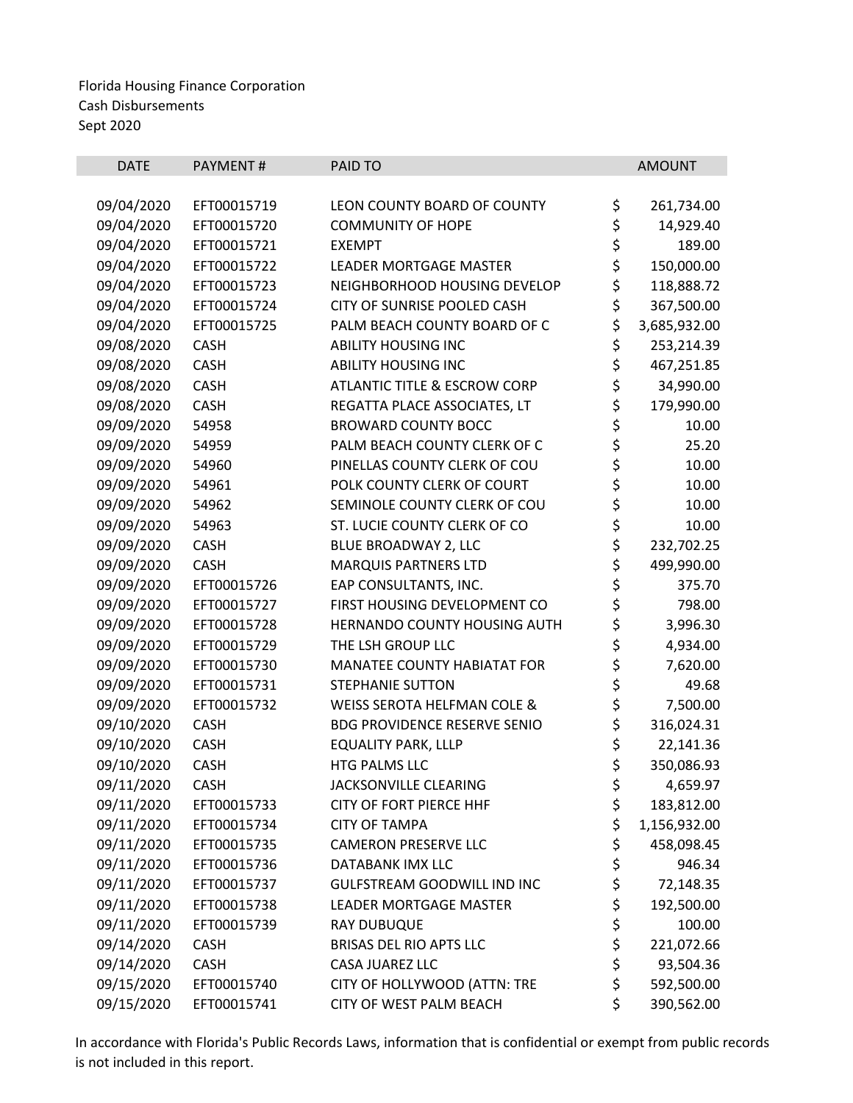| <b>DATE</b> | PAYMENT#    | PAID TO                             |          | <b>AMOUNT</b> |
|-------------|-------------|-------------------------------------|----------|---------------|
|             |             |                                     |          |               |
| 09/04/2020  | EFT00015719 | LEON COUNTY BOARD OF COUNTY         | \$       | 261,734.00    |
| 09/04/2020  | EFT00015720 | <b>COMMUNITY OF HOPE</b>            | \$       | 14,929.40     |
| 09/04/2020  | EFT00015721 | <b>EXEMPT</b>                       | \$       | 189.00        |
| 09/04/2020  | EFT00015722 | <b>LEADER MORTGAGE MASTER</b>       | \$       | 150,000.00    |
| 09/04/2020  | EFT00015723 | NEIGHBORHOOD HOUSING DEVELOP        | \$       | 118,888.72    |
| 09/04/2020  | EFT00015724 | CITY OF SUNRISE POOLED CASH         | \$       | 367,500.00    |
| 09/04/2020  | EFT00015725 | PALM BEACH COUNTY BOARD OF C        | \$       | 3,685,932.00  |
| 09/08/2020  | <b>CASH</b> | <b>ABILITY HOUSING INC</b>          | \$       | 253,214.39    |
| 09/08/2020  | <b>CASH</b> | <b>ABILITY HOUSING INC</b>          | \$       | 467,251.85    |
| 09/08/2020  | <b>CASH</b> | ATLANTIC TITLE & ESCROW CORP        | \$       | 34,990.00     |
| 09/08/2020  | <b>CASH</b> | REGATTA PLACE ASSOCIATES, LT        |          | 179,990.00    |
| 09/09/2020  | 54958       | <b>BROWARD COUNTY BOCC</b>          |          | 10.00         |
| 09/09/2020  | 54959       | PALM BEACH COUNTY CLERK OF C        |          | 25.20         |
| 09/09/2020  | 54960       | PINELLAS COUNTY CLERK OF COU        | ぐそみ      | 10.00         |
| 09/09/2020  | 54961       | POLK COUNTY CLERK OF COURT          |          | 10.00         |
| 09/09/2020  | 54962       | SEMINOLE COUNTY CLERK OF COU        | \$<br>\$ | 10.00         |
| 09/09/2020  | 54963       | ST. LUCIE COUNTY CLERK OF CO        |          | 10.00         |
| 09/09/2020  | <b>CASH</b> | BLUE BROADWAY 2, LLC                | \$\$\$   | 232,702.25    |
| 09/09/2020  | <b>CASH</b> | <b>MARQUIS PARTNERS LTD</b>         |          | 499,990.00    |
| 09/09/2020  | EFT00015726 | EAP CONSULTANTS, INC.               |          | 375.70        |
| 09/09/2020  | EFT00015727 | FIRST HOUSING DEVELOPMENT CO        | \$       | 798.00        |
| 09/09/2020  | EFT00015728 | HERNANDO COUNTY HOUSING AUTH        | \$<br>\$ | 3,996.30      |
| 09/09/2020  | EFT00015729 | THE LSH GROUP LLC                   |          | 4,934.00      |
| 09/09/2020  | EFT00015730 | MANATEE COUNTY HABIATAT FOR         | \$<br>\$ | 7,620.00      |
| 09/09/2020  | EFT00015731 | <b>STEPHANIE SUTTON</b>             |          | 49.68         |
| 09/09/2020  | EFT00015732 | WEISS SEROTA HELFMAN COLE &         | \$<br>\$ | 7,500.00      |
| 09/10/2020  | <b>CASH</b> | <b>BDG PROVIDENCE RESERVE SENIO</b> |          | 316,024.31    |
| 09/10/2020  | CASH        | <b>EQUALITY PARK, LLLP</b>          | \$       | 22,141.36     |
| 09/10/2020  | <b>CASH</b> | HTG PALMS LLC                       | \$       | 350,086.93    |
| 09/11/2020  | <b>CASH</b> | JACKSONVILLE CLEARING               | \$       | 4,659.97      |
| 09/11/2020  | EFT00015733 | CITY OF FORT PIERCE HHF             | \$       | 183,812.00    |
| 09/11/2020  | EFT00015734 | <b>CITY OF TAMPA</b>                | \$       | 1,156,932.00  |
| 09/11/2020  | EFT00015735 | <b>CAMERON PRESERVE LLC</b>         | \$       | 458,098.45    |
| 09/11/2020  | EFT00015736 | DATABANK IMX LLC                    | \$       | 946.34        |
| 09/11/2020  | EFT00015737 | <b>GULFSTREAM GOODWILL IND INC</b>  | \$       | 72,148.35     |
| 09/11/2020  | EFT00015738 | <b>LEADER MORTGAGE MASTER</b>       | \$       | 192,500.00    |
| 09/11/2020  | EFT00015739 | <b>RAY DUBUQUE</b>                  | \$       | 100.00        |
| 09/14/2020  | <b>CASH</b> | BRISAS DEL RIO APTS LLC             | \$       | 221,072.66    |
| 09/14/2020  | <b>CASH</b> | CASA JUAREZ LLC                     | \$       | 93,504.36     |
| 09/15/2020  | EFT00015740 | CITY OF HOLLYWOOD (ATTN: TRE        | \$       | 592,500.00    |
| 09/15/2020  | EFT00015741 | CITY OF WEST PALM BEACH             | \$       | 390,562.00    |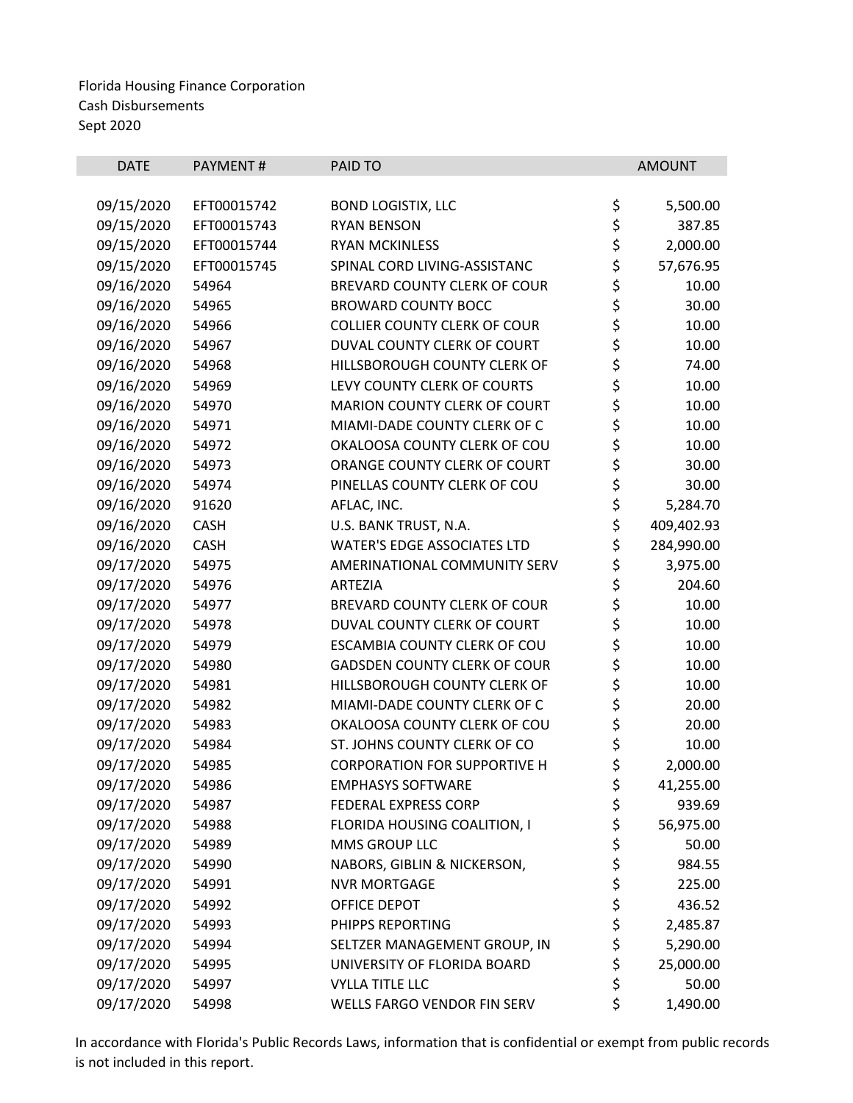|             |                                     |         | <b>AMOUNT</b>                                                                                                                                                   |
|-------------|-------------------------------------|---------|-----------------------------------------------------------------------------------------------------------------------------------------------------------------|
|             |                                     |         |                                                                                                                                                                 |
| EFT00015742 | <b>BOND LOGISTIX, LLC</b>           | \$      | 5,500.00                                                                                                                                                        |
| EFT00015743 | <b>RYAN BENSON</b>                  | \$      | 387.85                                                                                                                                                          |
| EFT00015744 | <b>RYAN MCKINLESS</b>               |         | 2,000.00                                                                                                                                                        |
| EFT00015745 | SPINAL CORD LIVING-ASSISTANC        |         | 57,676.95                                                                                                                                                       |
| 54964       | BREVARD COUNTY CLERK OF COUR        |         | 10.00                                                                                                                                                           |
| 54965       | <b>BROWARD COUNTY BOCC</b>          |         | 30.00                                                                                                                                                           |
| 54966       | <b>COLLIER COUNTY CLERK OF COUR</b> |         | 10.00                                                                                                                                                           |
| 54967       | DUVAL COUNTY CLERK OF COURT         |         | 10.00                                                                                                                                                           |
| 54968       | HILLSBOROUGH COUNTY CLERK OF        |         | 74.00                                                                                                                                                           |
| 54969       | LEVY COUNTY CLERK OF COURTS         |         | 10.00                                                                                                                                                           |
| 54970       | MARION COUNTY CLERK OF COURT        |         | 10.00                                                                                                                                                           |
| 54971       | MIAMI-DADE COUNTY CLERK OF C        |         | 10.00                                                                                                                                                           |
| 54972       | OKALOOSA COUNTY CLERK OF COU        |         | 10.00                                                                                                                                                           |
| 54973       | ORANGE COUNTY CLERK OF COURT        |         | 30.00                                                                                                                                                           |
| 54974       | PINELLAS COUNTY CLERK OF COU        |         | 30.00                                                                                                                                                           |
| 91620       | AFLAC, INC.                         |         | 5,284.70                                                                                                                                                        |
| CASH        | U.S. BANK TRUST, N.A.               |         | 409,402.93                                                                                                                                                      |
| <b>CASH</b> | <b>WATER'S EDGE ASSOCIATES LTD</b>  |         | 284,990.00                                                                                                                                                      |
| 54975       | AMERINATIONAL COMMUNITY SERV        |         | 3,975.00                                                                                                                                                        |
| 54976       | <b>ARTEZIA</b>                      | \$      | 204.60                                                                                                                                                          |
| 54977       | BREVARD COUNTY CLERK OF COUR        |         | 10.00                                                                                                                                                           |
| 54978       | DUVAL COUNTY CLERK OF COURT         |         | 10.00                                                                                                                                                           |
| 54979       | ESCAMBIA COUNTY CLERK OF COU        |         | 10.00                                                                                                                                                           |
| 54980       | <b>GADSDEN COUNTY CLERK OF COUR</b> |         | 10.00                                                                                                                                                           |
| 54981       | HILLSBOROUGH COUNTY CLERK OF        |         | 10.00                                                                                                                                                           |
| 54982       | MIAMI-DADE COUNTY CLERK OF C        |         | 20.00                                                                                                                                                           |
| 54983       | OKALOOSA COUNTY CLERK OF COU        |         | 20.00                                                                                                                                                           |
| 54984       | ST. JOHNS COUNTY CLERK OF CO        | \$      | 10.00                                                                                                                                                           |
| 54985       | <b>CORPORATION FOR SUPPORTIVE H</b> |         | 2,000.00                                                                                                                                                        |
| 54986       | <b>EMPHASYS SOFTWARE</b>            | \$      | 41,255.00                                                                                                                                                       |
| 54987       | <b>FEDERAL EXPRESS CORP</b>         |         | 939.69                                                                                                                                                          |
| 54988       | FLORIDA HOUSING COALITION, I        | \$      | 56,975.00                                                                                                                                                       |
| 54989       | MMS GROUP LLC                       | \$      | 50.00                                                                                                                                                           |
| 54990       | NABORS, GIBLIN & NICKERSON,         |         | 984.55                                                                                                                                                          |
| 54991       | <b>NVR MORTGAGE</b>                 |         | 225.00                                                                                                                                                          |
| 54992       | OFFICE DEPOT                        |         | 436.52                                                                                                                                                          |
| 54993       | PHIPPS REPORTING                    |         | 2,485.87                                                                                                                                                        |
| 54994       | SELTZER MANAGEMENT GROUP, IN        | \$      | 5,290.00                                                                                                                                                        |
| 54995       | UNIVERSITY OF FLORIDA BOARD         | \$      | 25,000.00                                                                                                                                                       |
| 54997       | <b>VYLLA TITLE LLC</b>              | \$      | 50.00                                                                                                                                                           |
| 54998       | WELLS FARGO VENDOR FIN SERV         | \$      | 1,490.00                                                                                                                                                        |
|             | PAYMENT#                            | PAID TO | \$<br>\$<br>\$<br>\$<br>\$<br>\$<br>\$<br>\$<br>\$<br>\$<br>\$<br>\$<br>\$<br>\$<br>\$<br>\$<br>\$<br>\$<br>ややや<br>\$<br>\$<br>\$<br>\$<br>\$<br>\$<br>\$<br>\$ |

<u> 1989 - Jan James James James James James James James James James James James James James James James James J</u>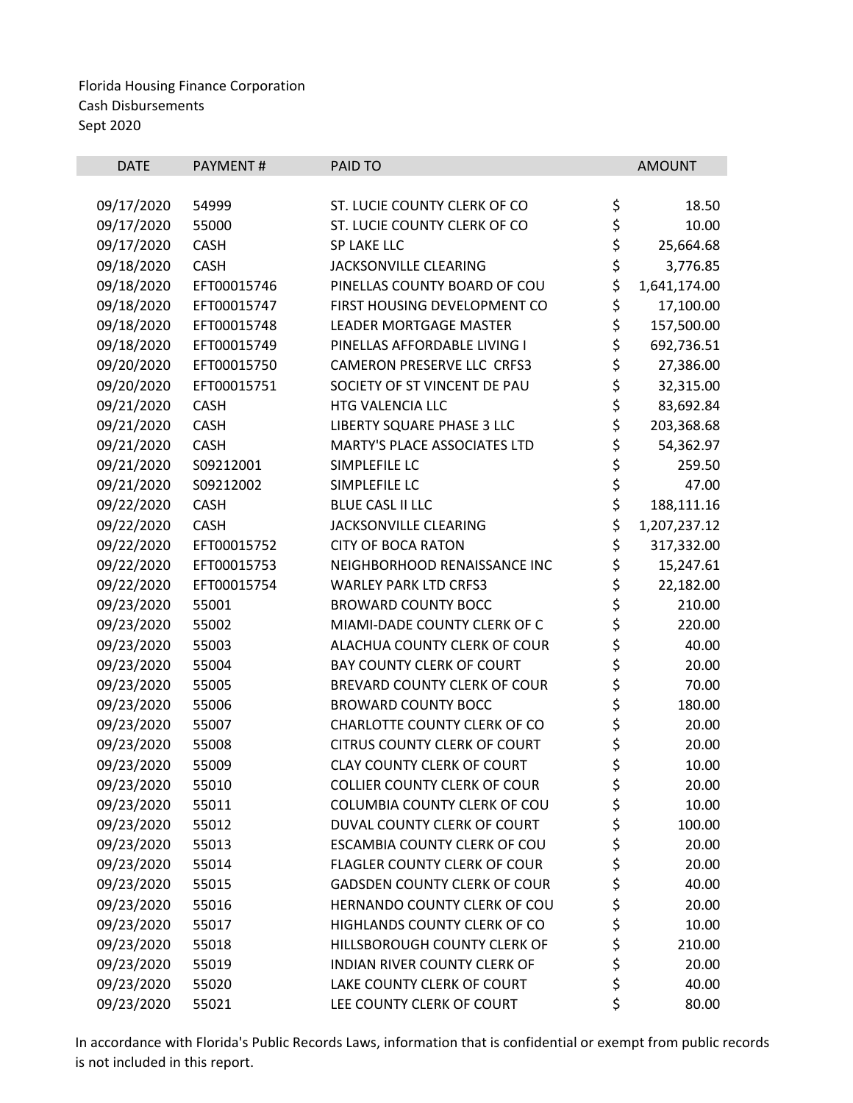| <b>DATE</b> | PAYMENT#    | PAID TO                             |          | <b>AMOUNT</b> |
|-------------|-------------|-------------------------------------|----------|---------------|
|             |             |                                     |          |               |
| 09/17/2020  | 54999       | ST. LUCIE COUNTY CLERK OF CO        | \$       | 18.50         |
| 09/17/2020  | 55000       | ST. LUCIE COUNTY CLERK OF CO        | \$       | 10.00         |
| 09/17/2020  | <b>CASH</b> | <b>SP LAKE LLC</b>                  | \$       | 25,664.68     |
| 09/18/2020  | <b>CASH</b> | JACKSONVILLE CLEARING               | \$<br>\$ | 3,776.85      |
| 09/18/2020  | EFT00015746 | PINELLAS COUNTY BOARD OF COU        |          | 1,641,174.00  |
| 09/18/2020  | EFT00015747 | FIRST HOUSING DEVELOPMENT CO        | \$       | 17,100.00     |
| 09/18/2020  | EFT00015748 | <b>LEADER MORTGAGE MASTER</b>       | \$       | 157,500.00    |
| 09/18/2020  | EFT00015749 | PINELLAS AFFORDABLE LIVING I        | \$       | 692,736.51    |
| 09/20/2020  | EFT00015750 | CAMERON PRESERVE LLC CRFS3          | \$       | 27,386.00     |
| 09/20/2020  | EFT00015751 | SOCIETY OF ST VINCENT DE PAU        | \$       | 32,315.00     |
| 09/21/2020  | <b>CASH</b> | HTG VALENCIA LLC                    | \$       | 83,692.84     |
| 09/21/2020  | CASH        | LIBERTY SQUARE PHASE 3 LLC          | \$       | 203,368.68    |
| 09/21/2020  | <b>CASH</b> | MARTY'S PLACE ASSOCIATES LTD        | \$       | 54,362.97     |
| 09/21/2020  | S09212001   | SIMPLEFILE LC                       | \$       | 259.50        |
| 09/21/2020  | S09212002   | SIMPLEFILE LC                       | \$       | 47.00         |
| 09/22/2020  | <b>CASH</b> | <b>BLUE CASL II LLC</b>             | \$       | 188,111.16    |
| 09/22/2020  | <b>CASH</b> | JACKSONVILLE CLEARING               | \$       | 1,207,237.12  |
| 09/22/2020  | EFT00015752 | <b>CITY OF BOCA RATON</b>           | \$       | 317,332.00    |
| 09/22/2020  | EFT00015753 | NEIGHBORHOOD RENAISSANCE INC        | \$       | 15,247.61     |
| 09/22/2020  | EFT00015754 | <b>WARLEY PARK LTD CRFS3</b>        | \$       | 22,182.00     |
| 09/23/2020  | 55001       | <b>BROWARD COUNTY BOCC</b>          | \$       | 210.00        |
| 09/23/2020  | 55002       | MIAMI-DADE COUNTY CLERK OF C        | \$\$\$\$ | 220.00        |
| 09/23/2020  | 55003       | ALACHUA COUNTY CLERK OF COUR        |          | 40.00         |
| 09/23/2020  | 55004       | <b>BAY COUNTY CLERK OF COURT</b>    |          | 20.00         |
| 09/23/2020  | 55005       | BREVARD COUNTY CLERK OF COUR        |          | 70.00         |
| 09/23/2020  | 55006       | <b>BROWARD COUNTY BOCC</b>          | \$<br>\$ | 180.00        |
| 09/23/2020  | 55007       | CHARLOTTE COUNTY CLERK OF CO        |          | 20.00         |
| 09/23/2020  | 55008       | <b>CITRUS COUNTY CLERK OF COURT</b> | \$<br>\$ | 20.00         |
| 09/23/2020  | 55009       | <b>CLAY COUNTY CLERK OF COURT</b>   |          | 10.00         |
| 09/23/2020  | 55010       | <b>COLLIER COUNTY CLERK OF COUR</b> | \$       | 20.00         |
| 09/23/2020  | 55011       | <b>COLUMBIA COUNTY CLERK OF COU</b> | \$       | 10.00         |
| 09/23/2020  | 55012       | DUVAL COUNTY CLERK OF COURT         | \$       | 100.00        |
| 09/23/2020  | 55013       | ESCAMBIA COUNTY CLERK OF COU        | \$       | 20.00         |
| 09/23/2020  | 55014       | FLAGLER COUNTY CLERK OF COUR        | \$       | 20.00         |
| 09/23/2020  | 55015       | <b>GADSDEN COUNTY CLERK OF COUR</b> | ささ       | 40.00         |
| 09/23/2020  | 55016       | HERNANDO COUNTY CLERK OF COU        |          | 20.00         |
| 09/23/2020  | 55017       | HIGHLANDS COUNTY CLERK OF CO        |          | 10.00         |
| 09/23/2020  | 55018       | HILLSBOROUGH COUNTY CLERK OF        | \$       | 210.00        |
| 09/23/2020  | 55019       | INDIAN RIVER COUNTY CLERK OF        | \$<br>\$ | 20.00         |
| 09/23/2020  | 55020       | LAKE COUNTY CLERK OF COURT          |          | 40.00         |
| 09/23/2020  | 55021       | LEE COUNTY CLERK OF COURT           | \$       | 80.00         |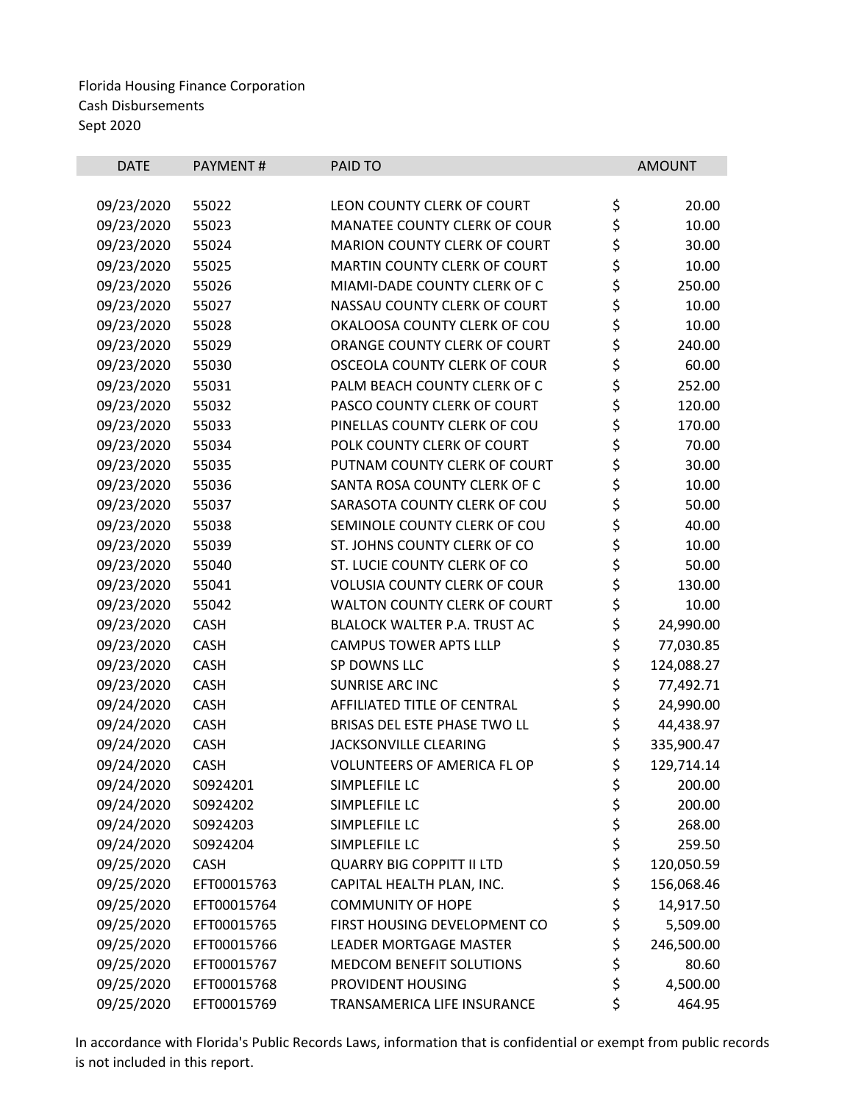| <b>DATE</b> | PAYMENT#    | PAID TO                             |          | <b>AMOUNT</b> |
|-------------|-------------|-------------------------------------|----------|---------------|
|             |             |                                     |          |               |
| 09/23/2020  | 55022       | LEON COUNTY CLERK OF COURT          | \$       | 20.00         |
| 09/23/2020  | 55023       | MANATEE COUNTY CLERK OF COUR        | \$       | 10.00         |
| 09/23/2020  | 55024       | <b>MARION COUNTY CLERK OF COURT</b> | \$<br>\$ | 30.00         |
| 09/23/2020  | 55025       | MARTIN COUNTY CLERK OF COURT        |          | 10.00         |
| 09/23/2020  | 55026       | MIAMI-DADE COUNTY CLERK OF C        | \$       | 250.00        |
| 09/23/2020  | 55027       | NASSAU COUNTY CLERK OF COURT        | \$<br>\$ | 10.00         |
| 09/23/2020  | 55028       | OKALOOSA COUNTY CLERK OF COU        |          | 10.00         |
| 09/23/2020  | 55029       | ORANGE COUNTY CLERK OF COURT        | \$<br>\$ | 240.00        |
| 09/23/2020  | 55030       | OSCEOLA COUNTY CLERK OF COUR        |          | 60.00         |
| 09/23/2020  | 55031       | PALM BEACH COUNTY CLERK OF C        | \$       | 252.00        |
| 09/23/2020  | 55032       | PASCO COUNTY CLERK OF COURT         | \$<br>\$ | 120.00        |
| 09/23/2020  | 55033       | PINELLAS COUNTY CLERK OF COU        |          | 170.00        |
| 09/23/2020  | 55034       | POLK COUNTY CLERK OF COURT          | \$\$\$   | 70.00         |
| 09/23/2020  | 55035       | PUTNAM COUNTY CLERK OF COURT        |          | 30.00         |
| 09/23/2020  | 55036       | SANTA ROSA COUNTY CLERK OF C        |          | 10.00         |
| 09/23/2020  | 55037       | SARASOTA COUNTY CLERK OF COU        | \$<br>\$ | 50.00         |
| 09/23/2020  | 55038       | SEMINOLE COUNTY CLERK OF COU        |          | 40.00         |
| 09/23/2020  | 55039       | ST. JOHNS COUNTY CLERK OF CO        | \$\$\$   | 10.00         |
| 09/23/2020  | 55040       | ST. LUCIE COUNTY CLERK OF CO        |          | 50.00         |
| 09/23/2020  | 55041       | <b>VOLUSIA COUNTY CLERK OF COUR</b> |          | 130.00        |
| 09/23/2020  | 55042       | WALTON COUNTY CLERK OF COURT        | \$       | 10.00         |
| 09/23/2020  | CASH        | BLALOCK WALTER P.A. TRUST AC        | \$       | 24,990.00     |
| 09/23/2020  | CASH        | <b>CAMPUS TOWER APTS LLLP</b>       | \$       | 77,030.85     |
| 09/23/2020  | <b>CASH</b> | SP DOWNS LLC                        | \$       | 124,088.27    |
| 09/23/2020  | CASH        | SUNRISE ARC INC                     | \$       | 77,492.71     |
| 09/24/2020  | <b>CASH</b> | AFFILIATED TITLE OF CENTRAL         | \$       | 24,990.00     |
| 09/24/2020  | CASH        | BRISAS DEL ESTE PHASE TWO LL        | \$       | 44,438.97     |
| 09/24/2020  | CASH        | JACKSONVILLE CLEARING               | \$       | 335,900.47    |
| 09/24/2020  | <b>CASH</b> | VOLUNTEERS OF AMERICA FL OP         | \$       | 129,714.14    |
| 09/24/2020  | S0924201    | SIMPLEFILE LC                       | \$       | 200.00        |
| 09/24/2020  | S0924202    | SIMPLEFILE LC                       | \$       | 200.00        |
| 09/24/2020  | S0924203    | SIMPLEFILE LC                       | \$       | 268.00        |
| 09/24/2020  | S0924204    | SIMPLEFILE LC                       | \$       | 259.50        |
| 09/25/2020  | <b>CASH</b> | <b>QUARRY BIG COPPITT II LTD</b>    | \$       | 120,050.59    |
| 09/25/2020  | EFT00015763 | CAPITAL HEALTH PLAN, INC.           | \$       | 156,068.46    |
| 09/25/2020  | EFT00015764 | <b>COMMUNITY OF HOPE</b>            | \$       | 14,917.50     |
| 09/25/2020  | EFT00015765 | FIRST HOUSING DEVELOPMENT CO        | \$       | 5,509.00      |
| 09/25/2020  | EFT00015766 | <b>LEADER MORTGAGE MASTER</b>       | \$       | 246,500.00    |
| 09/25/2020  | EFT00015767 | <b>MEDCOM BENEFIT SOLUTIONS</b>     | \$       | 80.60         |
| 09/25/2020  | EFT00015768 | PROVIDENT HOUSING                   | \$       | 4,500.00      |
| 09/25/2020  | EFT00015769 | TRANSAMERICA LIFE INSURANCE         | \$       | 464.95        |